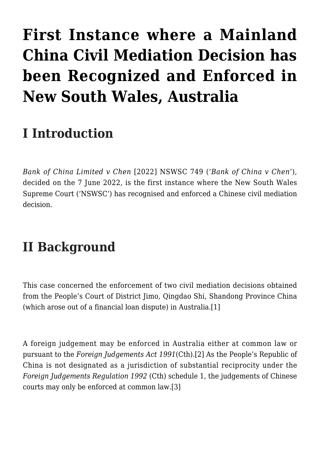# **[First Instance where a Mainland](https://conflictoflaws.net/2022/first-instance-where-a-mainland-china-civil-mediation-decision-has-been-recognized-and-enforced-in-new-south-wales-australia/) [China Civil Mediation Decision has](https://conflictoflaws.net/2022/first-instance-where-a-mainland-china-civil-mediation-decision-has-been-recognized-and-enforced-in-new-south-wales-australia/) [been Recognized and Enforced in](https://conflictoflaws.net/2022/first-instance-where-a-mainland-china-civil-mediation-decision-has-been-recognized-and-enforced-in-new-south-wales-australia/) [New South Wales, Australia](https://conflictoflaws.net/2022/first-instance-where-a-mainland-china-civil-mediation-decision-has-been-recognized-and-enforced-in-new-south-wales-australia/)**

# **I Introduction**

*Bank of China Limited v Chen* [2022] NSWSC 749 ('*Bank of China v Chen*'), decided on the 7 June 2022, is the first instance where the New South Wales Supreme Court ('NSWSC') has recognised and enforced a Chinese civil mediation decision.

# **II Background**

This case concerned the enforcement of two civil mediation decisions obtained from the People's Court of District Jimo, Qingdao Shi, Shandong Province China (which arose out of a financial loan dispute) in Australia.[\[1\]](#page--1-0)

A foreign judgement may be enforced in Australia either at common law or pursuant to the *Foreign Judgements Act 1991*(Cth).[\[2\]](#page--1-0) As the People's Republic of China is not designated as a jurisdiction of substantial reciprocity under the *Foreign Judgements Regulation 1992* (Cth) schedule 1, the judgements of Chinese courts may only be enforced at common law[.\[3\]](#page--1-0)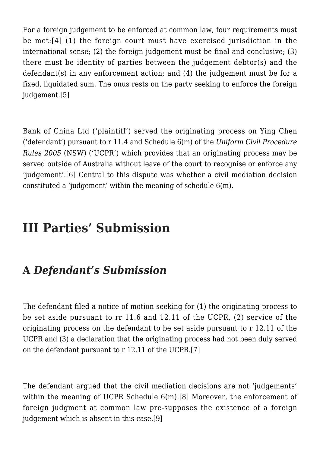For a foreign judgement to be enforced at common law, four requirements must be met:[\[4\]](#page--1-0) (1) the foreign court must have exercised jurisdiction in the international sense: (2) the foreign judgement must be final and conclusive: (3) there must be identity of parties between the judgement debtor(s) and the defendant(s) in any enforcement action; and (4) the judgement must be for a fixed, liquidated sum. The onus rests on the party seeking to enforce the foreign judgement[.\[5\]](#page--1-0)

Bank of China Ltd ('plaintiff') served the originating process on Ying Chen ('defendant') pursuant to r 11.4 and Schedule 6(m) of the *Uniform Civil Procedure Rules 2005* (NSW) ('UCPR') which provides that an originating process may be served outside of Australia without leave of the court to recognise or enforce any 'judgement'.[\[6\]](#page--1-0) Central to this dispute was whether a civil mediation decision constituted a 'judgement' within the meaning of schedule 6(m).

# **III Parties' Submission**

### **A** *Defendant's Submission*

The defendant filed a notice of motion seeking for (1) the originating process to be set aside pursuant to rr 11.6 and 12.11 of the UCPR, (2) service of the originating process on the defendant to be set aside pursuant to r 12.11 of the UCPR and (3) a declaration that the originating process had not been duly served on the defendant pursuant to r 12.11 of the UCPR[.\[7\]](#page--1-0)

The defendant argued that the civil mediation decisions are not 'judgements' within the meaning of UCPR Schedule 6(m).[\[8\]](#page--1-0) Moreover, the enforcement of foreign judgment at common law pre-supposes the existence of a foreign judgement which is absent in this case[.\[9\]](#page--1-0)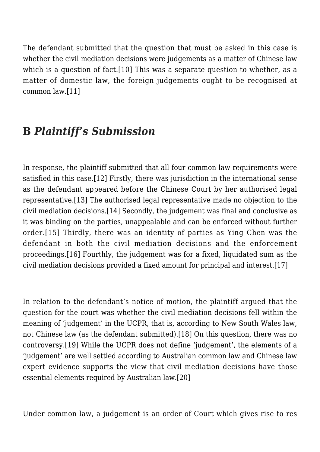The defendant submitted that the question that must be asked in this case is whether the civil mediation decisions were judgements as a matter of Chinese law which is a question of fact.<sup>[\[10\]](#page--1-0)</sup> This was a separate question to whether, as a matter of domestic law, the foreign judgements ought to be recognised at common law[.\[11\]](#page--1-0)

#### **B** *Plaintiff's Submission*

In response, the plaintiff submitted that all four common law requirements were satisfied in this case[.\[12\]](#page--1-0) Firstly, there was jurisdiction in the international sense as the defendant appeared before the Chinese Court by her authorised legal representative.[\[13\]](#page--1-0) The authorised legal representative made no objection to the civil mediation decisions[.\[14\]](#page--1-0) Secondly, the judgement was final and conclusive as it was binding on the parties, unappealable and can be enforced without further order.[\[15\]](#page--1-0) Thirdly, there was an identity of parties as Ying Chen was the defendant in both the civil mediation decisions and the enforcement proceedings.[\[16\]](#page--1-0) Fourthly, the judgement was for a fixed, liquidated sum as the civil mediation decisions provided a fixed amount for principal and interest.[\[17\]](#page--1-0)

In relation to the defendant's notice of motion, the plaintiff argued that the question for the court was whether the civil mediation decisions fell within the meaning of 'judgement' in the UCPR, that is, according to New South Wales law, not Chinese law (as the defendant submitted).[\[18\]](#page--1-0) On this question, there was no controversy.[\[19\]](#page--1-0) While the UCPR does not define 'judgement', the elements of a 'judgement' are well settled according to Australian common law and Chinese law expert evidence supports the view that civil mediation decisions have those essential elements required by Australian law[.\[20\]](#page--1-0)

Under common law, a judgement is an order of Court which gives rise to res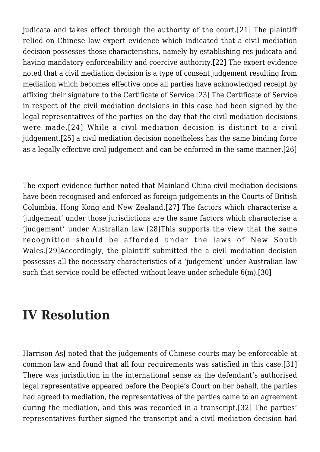judicata and takes effect through the authority of the court.[\[21\]](#page--1-0) The plaintiff relied on Chinese law expert evidence which indicated that a civil mediation decision possesses those characteristics, namely by establishing res judicata and having mandatory enforceability and coercive authority.[\[22\]](#page--1-0) The expert evidence noted that a civil mediation decision is a type of consent judgement resulting from mediation which becomes effective once all parties have acknowledged receipt by affixing their signature to the Certificate of Service[.\[23\]](#page--1-0) The Certificate of Service in respect of the civil mediation decisions in this case had been signed by the legal representatives of the parties on the day that the civil mediation decisions were made.[\[24\]](#page--1-0) While a civil mediation decision is distinct to a civil judgement,[\[25\]](#page--1-0) a civil mediation decision nonetheless has the same binding force as a legally effective civil judgement and can be enforced in the same manner[.\[26\]](#page--1-0)

The expert evidence further noted that Mainland China civil mediation decisions have been recognised and enforced as foreign judgements in the Courts of British Columbia, Hong Kong and New Zealand.[\[27\]](#page--1-0) The factors which characterise a 'judgement' under those jurisdictions are the same factors which characterise a 'judgement' under Australian law.[\[28\]](#page--1-0)This supports the view that the same recognition should be afforded under the laws of New South Wales.[\[29\]A](#page--1-0)ccordingly, the plaintiff submitted the a civil mediation decision possesses all the necessary characteristics of a 'judgement' under Australian law such that service could be effected without leave under schedule 6(m)[.\[30\]](#page--1-0)

## **IV Resolution**

Harrison AsJ noted that the judgements of Chinese courts may be enforceable at common law and found that all four requirements was satisfied in this case[.\[31\]](#page--1-0) There was jurisdiction in the international sense as the defendant's authorised legal representative appeared before the People's Court on her behalf, the parties had agreed to mediation, the representatives of the parties came to an agreement during the mediation, and this was recorded in a transcript.[\[32\]](#page--1-0) The parties' representatives further signed the transcript and a civil mediation decision had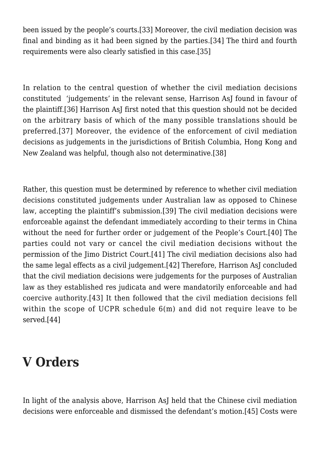been issued by the people's courts[.\[33\]](#page--1-0) Moreover, the civil mediation decision was final and binding as it had been signed by the parties.[\[34\]](#page--1-0) The third and fourth requirements were also clearly satisfied in this case[.\[35\]](#page--1-0)

In relation to the central question of whether the civil mediation decisions constituted 'judgements' in the relevant sense, Harrison AsJ found in favour of the plaintiff.[\[36\]](#page--1-0) Harrison AsJ first noted that this question should not be decided on the arbitrary basis of which of the many possible translations should be preferred.[\[37\]](#page--1-0) Moreover, the evidence of the enforcement of civil mediation decisions as judgements in the jurisdictions of British Columbia, Hong Kong and New Zealand was helpful, though also not determinative[.\[38\]](#page--1-0)

Rather, this question must be determined by reference to whether civil mediation decisions constituted judgements under Australian law as opposed to Chinese law, accepting the plaintiff's submission.[\[39\]](#page--1-0) The civil mediation decisions were enforceable against the defendant immediately according to their terms in China without the need for further order or judgement of the People's Court.[\[40\]](#page--1-0) The parties could not vary or cancel the civil mediation decisions without the permission of the Jimo District Court[.\[41\]](#page--1-0) The civil mediation decisions also had the same legal effects as a civil judgement[.\[42\]](#page--1-0) Therefore, Harrison AsJ concluded that the civil mediation decisions were judgements for the purposes of Australian law as they established res judicata and were mandatorily enforceable and had coercive authority.[\[43\]](#page--1-0) It then followed that the civil mediation decisions fell within the scope of UCPR schedule 6(m) and did not require leave to be served[.\[44\]](#page--1-0)

# **V Orders**

In light of the analysis above, Harrison AsJ held that the Chinese civil mediation decisions were enforceable and dismissed the defendant's motion.[\[45\]](#page--1-0) Costs were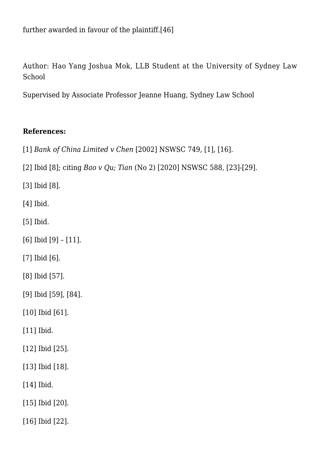further awarded in favour of the plaintiff[.\[46\]](#page--1-0)

Author: Hao Yang Joshua Mok, LLB Student at the University of Sydney Law School

Supervised by Associate Professor Jeanne Huang, Sydney Law School

#### **References:**

[\[1\]](#page--1-0) *Bank of China Limited v Chen* [2002] NSWSC 749, [1], [16].

[\[2\]](#page--1-0) Ibid [8]; citing *Bao v Qu; Tian* (No 2) [2020] NSWSC 588, [23]-[29].

[\[3\]](#page--1-0) Ibid [8].

[\[4\]](#page--1-0) Ibid.

[\[5\]](#page--1-0) Ibid.

[\[6\]](#page--1-0) Ibid [9] – [11].

[\[7\]](#page--1-0) Ibid [6].

[\[8\]](#page--1-0) Ibid [57].

[\[9\]](#page--1-0) Ibid [59], [84].

[\[10\]](#page--1-0) Ibid [61].

[\[11\]](#page--1-0) Ibid.

[\[12\]](#page--1-0) Ibid [25].

[\[13\]](#page--1-0) Ibid [18].

[\[14\]](#page--1-0) Ibid.

[\[15\]](#page--1-0) Ibid [20].

[\[16\]](#page--1-0) Ibid [22].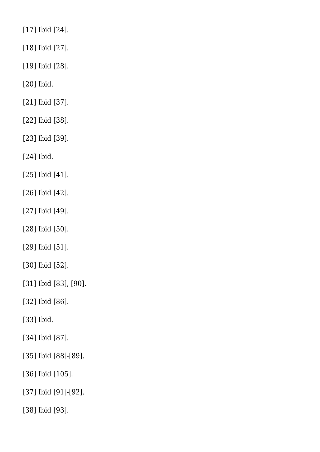[\[17\]](#page--1-0) Ibid [24].

[\[18\]](#page--1-0) Ibid [27].

[\[19\]](#page--1-0) Ibid [28].

[\[20\]](#page--1-0) Ibid.

[\[21\]](#page--1-0) Ibid [37].

[\[22\]](#page--1-0) Ibid [38].

[\[23\]](#page--1-0) Ibid [39].

[\[24\]](#page--1-0) Ibid.

[\[25\]](#page--1-0) Ibid [41].

[\[26\]](#page--1-0) Ibid [42].

[\[27\]](#page--1-0) Ibid [49].

[\[28\]](#page--1-0) Ibid [50].

[\[29\]](#page--1-0) Ibid [51].

[\[30\]](#page--1-0) Ibid [52].

[\[31\]](#page--1-0) Ibid [83], [90].

[\[32\]](#page--1-0) Ibid [86].

[\[33\]](#page--1-0) Ibid.

[\[34\]](#page--1-0) Ibid [87].

[\[35\]](#page--1-0) Ibid [88]-[89].

[\[36\]](#page--1-0) Ibid [105].

[\[37\]](#page--1-0) Ibid [91]-[92].

[\[38\]](#page--1-0) Ibid [93].